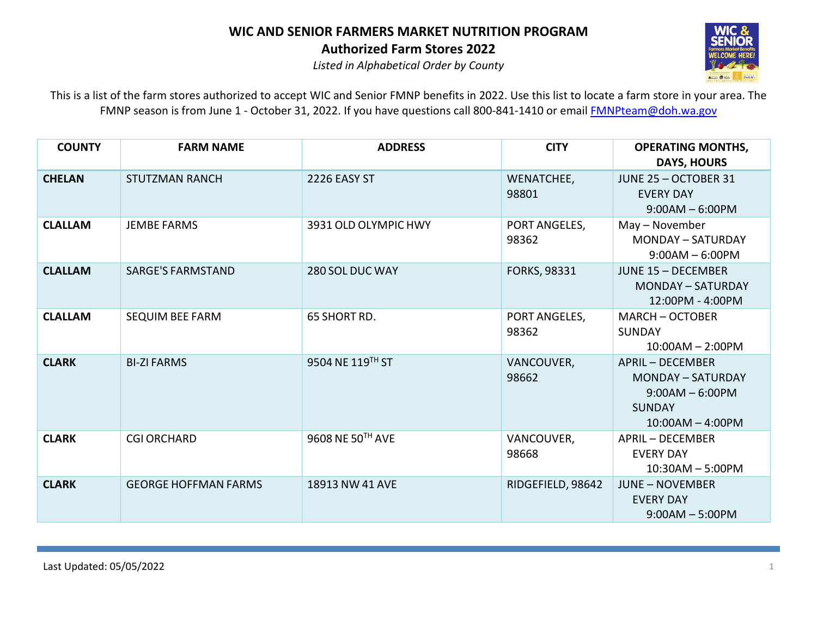

*Listed in Alphabetical Order by County*

| <b>COUNTY</b>  | <b>FARM NAME</b>            | <b>ADDRESS</b>       | <b>CITY</b>            | <b>OPERATING MONTHS,</b><br><b>DAYS, HOURS</b>                                                                  |
|----------------|-----------------------------|----------------------|------------------------|-----------------------------------------------------------------------------------------------------------------|
| <b>CHELAN</b>  | <b>STUTZMAN RANCH</b>       | 2226 EASY ST         | WENATCHEE,<br>98801    | JUNE 25 - OCTOBER 31<br><b>EVERY DAY</b><br>$9:00AM - 6:00PM$                                                   |
| <b>CLALLAM</b> | <b>JEMBE FARMS</b>          | 3931 OLD OLYMPIC HWY | PORT ANGELES,<br>98362 | May – November<br><b>MONDAY - SATURDAY</b><br>$9:00AM - 6:00PM$                                                 |
| <b>CLALLAM</b> | <b>SARGE'S FARMSTAND</b>    | 280 SOL DUC WAY      | FORKS, 98331           | <b>JUNE 15 - DECEMBER</b><br><b>MONDAY - SATURDAY</b><br>12:00PM - 4:00PM                                       |
| <b>CLALLAM</b> | SEQUIM BEE FARM             | 65 SHORT RD.         | PORT ANGELES,<br>98362 | <b>MARCH - OCTOBER</b><br><b>SUNDAY</b><br>$10:00AM - 2:00PM$                                                   |
| <b>CLARK</b>   | <b>BI-ZI FARMS</b>          | 9504 NE 119TH ST     | VANCOUVER,<br>98662    | <b>APRIL - DECEMBER</b><br><b>MONDAY - SATURDAY</b><br>$9:00AM - 6:00PM$<br><b>SUNDAY</b><br>$10:00AM - 4:00PM$ |
| <b>CLARK</b>   | <b>CGI ORCHARD</b>          | 9608 NE 50TH AVE     | VANCOUVER,<br>98668    | <b>APRIL - DECEMBER</b><br><b>EVERY DAY</b><br>$10:30AM - 5:00PM$                                               |
| <b>CLARK</b>   | <b>GEORGE HOFFMAN FARMS</b> | 18913 NW 41 AVE      | RIDGEFIELD, 98642      | <b>JUNE - NOVEMBER</b><br><b>EVERY DAY</b><br>$9:00AM - 5:00PM$                                                 |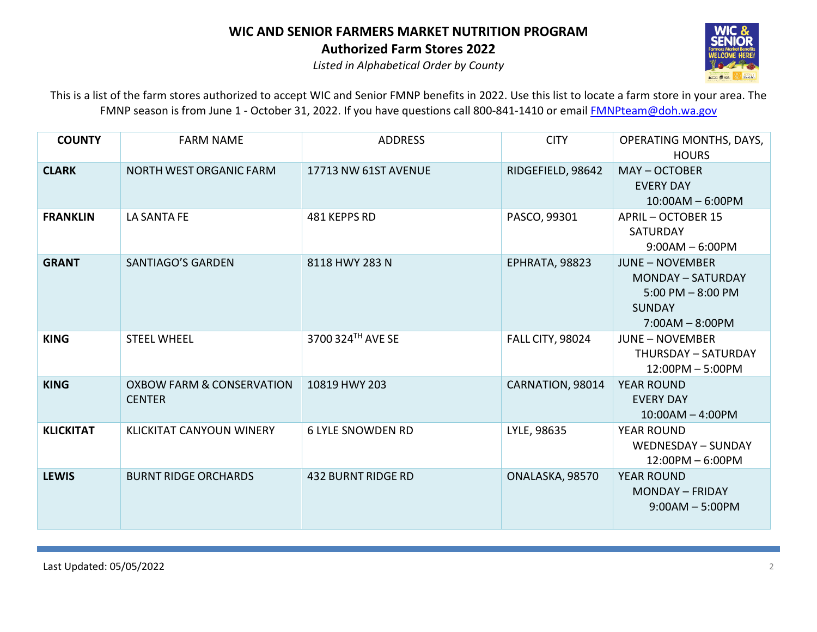

*Listed in Alphabetical Order by County*

| <b>COUNTY</b>    | <b>FARM NAME</b>                                      | <b>ADDRESS</b>            | <b>CITY</b>             | <b>OPERATING MONTHS, DAYS,</b><br><b>HOURS</b>                                                                    |
|------------------|-------------------------------------------------------|---------------------------|-------------------------|-------------------------------------------------------------------------------------------------------------------|
| <b>CLARK</b>     | <b>NORTH WEST ORGANIC FARM</b>                        | 17713 NW 61ST AVENUE      | RIDGEFIELD, 98642       | MAY-OCTOBER<br><b>EVERY DAY</b><br>$10:00AM - 6:00PM$                                                             |
| <b>FRANKLIN</b>  | LA SANTA FE                                           | 481 KEPPS RD              | PASCO, 99301            | APRIL - OCTOBER 15<br><b>SATURDAY</b><br>$9:00AM - 6:00PM$                                                        |
| <b>GRANT</b>     | <b>SANTIAGO'S GARDEN</b>                              | 8118 HWY 283 N            | EPHRATA, 98823          | <b>JUNE - NOVEMBER</b><br><b>MONDAY - SATURDAY</b><br>$5:00$ PM $- 8:00$ PM<br><b>SUNDAY</b><br>$7:00AM - 8:00PM$ |
| <b>KING</b>      | <b>STEEL WHEEL</b>                                    | 3700 324TH AVE SE         | <b>FALL CITY, 98024</b> | <b>JUNE - NOVEMBER</b><br>THURSDAY - SATURDAY<br>12:00PM - 5:00PM                                                 |
| <b>KING</b>      | <b>OXBOW FARM &amp; CONSERVATION</b><br><b>CENTER</b> | 10819 HWY 203             | CARNATION, 98014        | <b>YEAR ROUND</b><br><b>EVERY DAY</b><br>$10:00AM - 4:00PM$                                                       |
| <b>KLICKITAT</b> | <b>KLICKITAT CANYOUN WINERY</b>                       | <b>6 LYLE SNOWDEN RD</b>  | LYLE, 98635             | <b>YEAR ROUND</b><br>WEDNESDAY - SUNDAY<br>$12:00PM - 6:00PM$                                                     |
| <b>LEWIS</b>     | <b>BURNT RIDGE ORCHARDS</b>                           | <b>432 BURNT RIDGE RD</b> | ONALASKA, 98570         | <b>YEAR ROUND</b><br>MONDAY - FRIDAY<br>$9:00AM - 5:00PM$                                                         |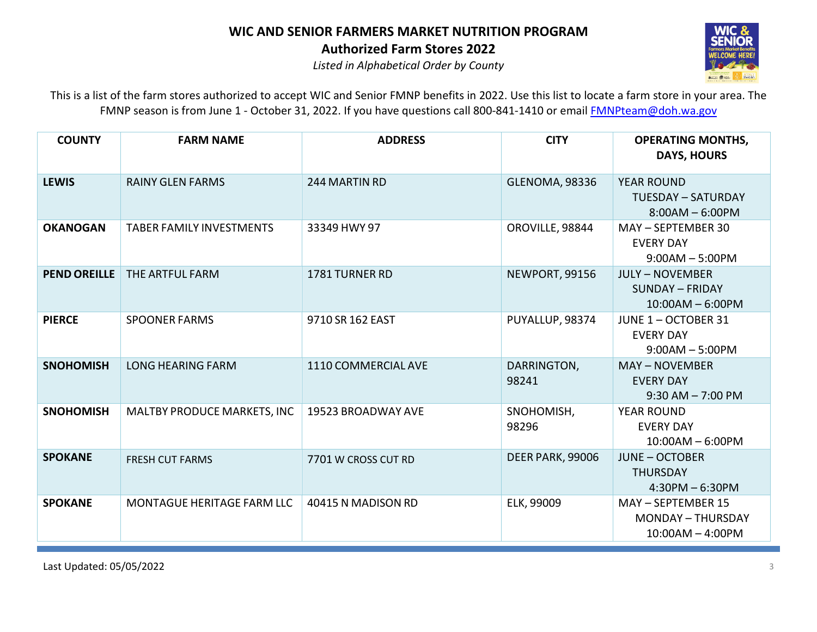

*Listed in Alphabetical Order by County*

| <b>COUNTY</b>       | <b>FARM NAME</b>                | <b>ADDRESS</b>      | <b>CITY</b>           | <b>OPERATING MONTHS,</b><br><b>DAYS, HOURS</b>                         |
|---------------------|---------------------------------|---------------------|-----------------------|------------------------------------------------------------------------|
| <b>LEWIS</b>        | <b>RAINY GLEN FARMS</b>         | 244 MARTIN RD       | <b>GLENOMA, 98336</b> | <b>YEAR ROUND</b><br><b>TUESDAY - SATURDAY</b><br>$8:00AM - 6:00PM$    |
| <b>OKANOGAN</b>     | <b>TABER FAMILY INVESTMENTS</b> | 33349 HWY 97        | OROVILLE, 98844       | MAY - SEPTEMBER 30<br><b>EVERY DAY</b><br>$9:00AM - 5:00PM$            |
| <b>PEND OREILLE</b> | THE ARTFUL FARM                 | 1781 TURNER RD      | NEWPORT, 99156        | <b>JULY - NOVEMBER</b><br><b>SUNDAY - FRIDAY</b><br>$10:00AM - 6:00PM$ |
| <b>PIERCE</b>       | <b>SPOONER FARMS</b>            | 9710 SR 162 EAST    | PUYALLUP, 98374       | JUNE 1 - OCTOBER 31<br><b>EVERY DAY</b><br>$9:00AM - 5:00PM$           |
| <b>SNOHOMISH</b>    | <b>LONG HEARING FARM</b>        | 1110 COMMERCIAL AVE | DARRINGTON,<br>98241  | <b>MAY - NOVEMBER</b><br><b>EVERY DAY</b><br>$9:30$ AM $- 7:00$ PM     |
| <b>SNOHOMISH</b>    | MALTBY PRODUCE MARKETS, INC     | 19523 BROADWAY AVE  | SNOHOMISH,<br>98296   | <b>YEAR ROUND</b><br><b>EVERY DAY</b><br>$10:00AM - 6:00PM$            |
| <b>SPOKANE</b>      | <b>FRESH CUT FARMS</b>          | 7701 W CROSS CUT RD | DEER PARK, 99006      | <b>JUNE - OCTOBER</b><br><b>THURSDAY</b><br>$4:30PM - 6:30PM$          |
| <b>SPOKANE</b>      | MONTAGUE HERITAGE FARM LLC      | 40415 N MADISON RD  | ELK, 99009            | MAY - SEPTEMBER 15<br><b>MONDAY - THURSDAY</b><br>$10:00AM - 4:00PM$   |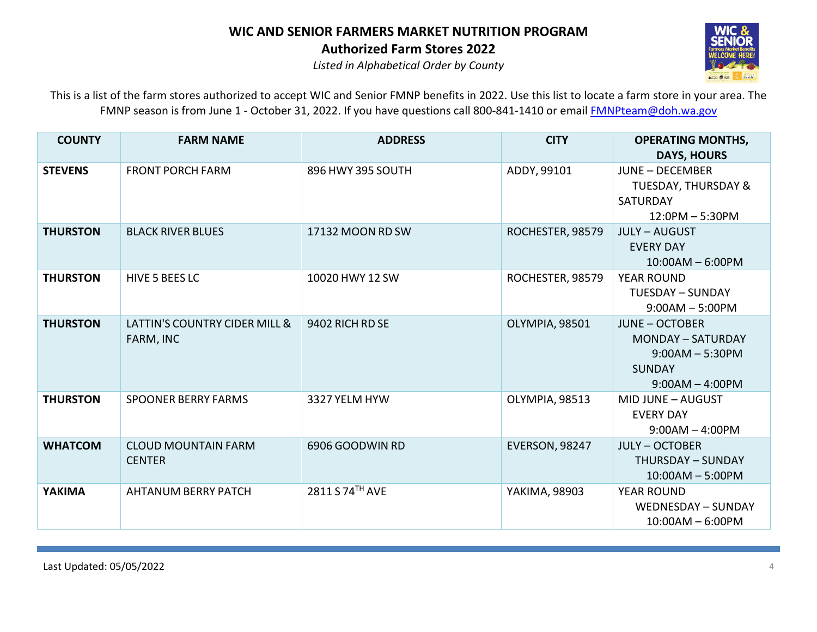

*Listed in Alphabetical Order by County*

| <b>COUNTY</b>   | <b>FARM NAME</b>                            | <b>ADDRESS</b>    | <b>CITY</b>           | <b>OPERATING MONTHS,</b><br><b>DAYS, HOURS</b>                                                               |
|-----------------|---------------------------------------------|-------------------|-----------------------|--------------------------------------------------------------------------------------------------------------|
| <b>STEVENS</b>  | <b>FRONT PORCH FARM</b>                     | 896 HWY 395 SOUTH | ADDY, 99101           | <b>JUNE - DECEMBER</b><br><b>TUESDAY, THURSDAY &amp;</b><br><b>SATURDAY</b><br>$12:0PM - 5:30PM$             |
| <b>THURSTON</b> | <b>BLACK RIVER BLUES</b>                    | 17132 MOON RD SW  | ROCHESTER, 98579      | <b>JULY - AUGUST</b><br><b>EVERY DAY</b><br>$10:00AM - 6:00PM$                                               |
| <b>THURSTON</b> | HIVE 5 BEES LC                              | 10020 HWY 12 SW   | ROCHESTER, 98579      | <b>YEAR ROUND</b><br>TUESDAY - SUNDAY<br>$9:00AM - 5:00PM$                                                   |
| <b>THURSTON</b> | LATTIN'S COUNTRY CIDER MILL &<br>FARM, INC  | 9402 RICH RD SE   | OLYMPIA, 98501        | <b>JUNE - OCTOBER</b><br><b>MONDAY - SATURDAY</b><br>$9:00AM - 5:30PM$<br><b>SUNDAY</b><br>$9:00AM - 4:00PM$ |
| <b>THURSTON</b> | <b>SPOONER BERRY FARMS</b>                  | 3327 YELM HYW     | OLYMPIA, 98513        | MID JUNE - AUGUST<br><b>EVERY DAY</b><br>$9:00AM - 4:00PM$                                                   |
| <b>WHATCOM</b>  | <b>CLOUD MOUNTAIN FARM</b><br><b>CENTER</b> | 6906 GOODWIN RD   | <b>EVERSON, 98247</b> | <b>JULY - OCTOBER</b><br><b>THURSDAY - SUNDAY</b><br>$10:00AM - 5:00PM$                                      |
| <b>YAKIMA</b>   | <b>AHTANUM BERRY PATCH</b>                  | 2811 S 74TH AVE   | YAKIMA, 98903         | <b>YEAR ROUND</b><br>WEDNESDAY - SUNDAY<br>$10:00AM - 6:00PM$                                                |